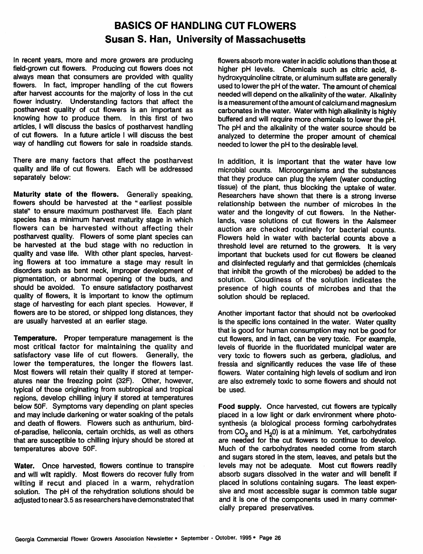## *BASICS OF HANDLING CUT FLOWERS Susan S. Han, University of Massachusetts*

In recent years, more and more growers are producing field-grown cut flowers. Producing cut flowers does not always mean that consumers are provided with quality flowers. In fact, improper handling of the cut flowers after harvest accounts for the majority of loss in the cut flower industry. Understanding factors that affect the postharvest quality of cut flowers is an important as knowing how to produce them. In this first of two articles, I will discuss the basics of postharvest handling of cut flowers. In a future article I will discuss the best way of handling cut flowers for sale in roadside stands.

There are many factors that affect the postharvest quality and life of cut flowers. Each will be addressed separately below:

*Maturity state of the flowers.* Generally speaking, flowers should be harvested at the "earliest possible state" to ensure maximum postharvest life. Each plant species has a minimum harvest maturity stage in which flowers can be harvested without affecting their postharvest quality. Flowers of some plant species can be harvested at the bud stage with no reduction in quality and vase life. With other plant species, harvest ing flowers at too immature a stage may result in disorders such as bent neck, improper development of pigmentation, or abnormal opening of the buds, and should be avoided. To ensure satisfactory postharvest quality of flowers, it is important to know the optimum stage of harvesting for each plant species. However, if flowers are to be stored, or shipped long distances, they are usually harvested at an earlier stage.

*Temperature.* Proper temperature management is the most critical factor for maintaining the quality and satisfactory vase life of cut flowers. Generally, the lower the temperatures, the longer the flowers last. Most flowers will retain their quality if stored at temper atures near the freezing point (32F). Other, however, typical of those originating from subtropical and tropical regions, develop chilling injury if stored at temperatures below 50F. Symptoms vary depending on plant species and may include darkening or water soaking of the petals and death of flowers. Flowers such as anthurium, birdof-paradise, heliconia, certain orchids, as well as others that are susceptible to chilling injury should be stored at temperatures above 50F.

*Water.* Once harvested, flowers continue to transpire and will wilt rapidly. Most flowers do recover fully from wilting if recut and placed in a warm, rehydration solution. The pH of the rehydration solutions should be adjusted to near 3.5 as researchers have demonstrated that flowers absorb more water in acidic solutions than those at higher pH levels. Chemicals such as citric acid, 8 hydroxyquinoline citrate, or aluminumsulfate are generally used to lower the pH of the water. The amount of chemical needed will depend on the alkalinity of the water. Alkalinity isa measurement ofthe amount of calcium and magnesium carbonates inthe water. Water with high alkalinity is highly buffered and will require more chemicals to lower the pH. The pH and the alkalinity of the water source should be analyzed to determine the proper amount of chemical needed to lower the pH to the desirable level.

In addition, it is important that the water have low microbial counts. Microorganisms and the substances that they produce can plug the xylem (water conducting tissue) of the plant, thus blocking the uptake of water. Researchers have shown that there is a strong inverse relationship between the number of microbes in the water and the longevity of cut flowers. In the Nether lands, vase solutions of cut flowers in the Aalsmeer auction are checked routinely for bacterial counts. Flowers held in water with bacterial counts above a threshold level are returned to the growers. It is very important that buckets used for cut flowers be cleaned and disinfected regularly and that germicides (chemicals that inhibit the growth of the microbes) be added to the solution. Cloudiness of the solution indicates the presence of high counts of microbes and that the solution should be replaced.

Another important factor that should not be overlooked is the specific ions contained in the water. Water quality that is good for human consumption may not be good for cut flowers, and in fact, can be very toxic. For example, levels of fluoride in the fluoridated municipal water are very toxic to flowers such as gerbera, gladiolus, and fressia and significantly reduces the vase life of these flowers. Water containing high levels of sodium and iron are also extremely toxic to some flowers and should not be used.

*Food supply.* Once harvested, cut flowers are typically placed in a low light or dark environment where photo synthesis (a biological process forming carbohydrates from  $CO<sub>2</sub>$  and  $H<sub>2</sub>0$ ) is at a minimum. Yet, carbohydrates are needed for the cut flowers to continue to develop. Much of the carbohydrates needed come from starch and sugars stored in the stem, leaves, and petals but the levels may not be adequate. Most cut flowers readily absorb sugars dissolved in the water and will benefit if placed in solutions containing sugars. The least expen sive and most accessible sugar is common table sugar and it is one of the components used in many commer cially prepared preservatives.